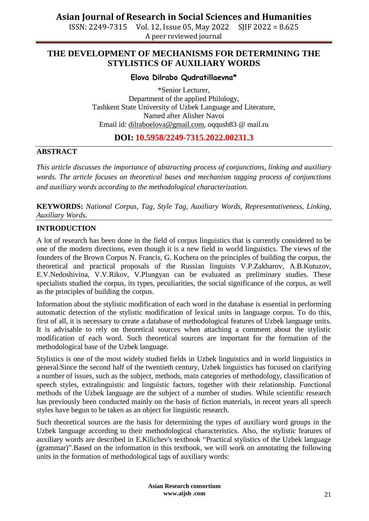ISSN: 2249-7315 Vol. 12, Issue 05, May 2022 SJIF 2022 = 8.625 A peer reviewed journal

### **THE DEVELOPMENT OF MECHANISMS FOR DETERMINING THE STYLISTICS OF AUXILIARY WORDS**

### **Elova Dilrabo Qudratillaevna\***

\*Senior Lecturer, Department of the applied Philology, Tashkent State University of Uzbek Language and Literature, Named after Alisher Navoi Email id: [dilraboelova@gmail.com,](mailto:dilraboelova@gmail.com) oqqush83 @ mail.ru

### **DOI: 10.5958/2249-7315.2022.00231.3**

#### **ABSTRACT**

*This article discusses the importance of abstracting process of conjunctions, linking and auxiliary words. The article focuses on theoretical bases and mechanism tagging process of conjunctions and auxiliary words according to the methodological characterization.*

**KEYWORDS:** *National Corpus, Tag, Style Tag, Auxiliary Words, Representativeness, Linking, Auxiliary Words.*

### **INTRODUCTION**

A lot of research has been done in the field of corpus linguistics that is currently considered to be one of the modern directions, even though it is a new field in world linguistics. The views of the founders of the Brown Corpus N. Francis, G. Kuchera on the principles of building the corpus, the theoretical and practical proposals of the Russian linguists V.P.Zakharov, A.B.Kutuzov, E.V.Nedoshivina, V.V.Rikov, V.Plungyan can be evaluated as preliminary studies. These specialists studied the corpus, its types, peculiarities, the social significance of the corpus, as well as the principles of building the corpus.

Information about the stylistic modification of each word in the database is essential in performing automatic detection of the stylistic modification of lexical units in language corpus. To do this, first of all, it is necessary to create a database of methodological features of Uzbek language units. It is advisable to rely on theoretical sources when attaching a comment about the stylistic modification of each word. Such theoretical sources are important for the formation of the methodological base of the Uzbek language.

Stylistics is one of the most widely studied fields in Uzbek linguistics and in world linguistics in general.Since the second half of the twentieth century, Uzbek linguistics has focused on clarifying a number of issues, such as the subject, methods, main categories of methodology, classification of speech styles, extralinguistic and linguistic factors, together with their relationship. Functional methods of the Uzbek language are the subject of a number of studies. While scientific research has previously been conducted mainly on the basis of fiction materials, in recent years all speech styles have begun to be taken as an object for linguistic research.

Such theoretical sources are the basis for determining the types of auxiliary word groups in the Uzbek language according to their methodological characteristics. Also, the stylistic features of auxiliary words are described in E.Kilichev's textbook "Practical stylistics of the Uzbek language (grammar)".Based on the information in this textbook, we will work on annotating the following units in the formation of methodological tags of auxiliary words: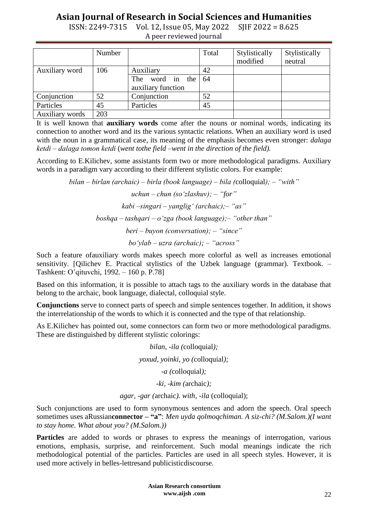ISSN: 2249-7315 Vol. 12, Issue 05, May 2022 SJIF 2022 = 8.625 A peer reviewed journal

|                 | Number |                                          | Total | Stylistically<br>modified | Stylistically<br>neutral |
|-----------------|--------|------------------------------------------|-------|---------------------------|--------------------------|
| Auxiliary word  | 106    | Auxiliary                                | 42    |                           |                          |
|                 |        | The<br>word in the<br>auxiliary function | 64    |                           |                          |
| Conjunction     | 52     | Conjunction                              | 52    |                           |                          |
| Particles       | 45     | Particles                                | 45    |                           |                          |
| Auxiliary words | 203    |                                          |       |                           |                          |

It is well known that **auxiliary words** come after the nouns or nominal words, indicating its connection to another word and its the various syntactic relations. When an auxiliary word is used with the noun in a grammatical case, its meaning of the emphasis becomes even stronger: *dalaga ketdi ‒ dalaga tomon ketdi* (*went tothe field –went in the direction of the field).*

According to E.Kilichev, some assistants form two or more methodological paradigms. Auxiliary words in a paradigm vary according to their different stylistic colors. For example:

*bilan ‒ birlan (archaic) ‒ birla (book language) ‒ bila (*colloquial*); ‒ "with"*

*uchun ‒ chun (so"zlashuv); ‒ "for" kabi ‒singari ‒ yanglig" (archaic);‒ "as" boshqa ‒ tashqari ‒ o"zga (book language);‒ "other than" beri ‒ buyon (conversation); ‒ "since" bo"ylab ‒ uzra (archaic); ‒ "across"*

Such a feature ofauxiliary words makes speech more colorful as well as increases emotional sensitivity. [Qilichev E. Practical stylistics of the Uzbek language (grammar). Textbook. -Tashkent: O'qituvchi, 1992. ‒ 160 p. P.78]

Based on this information, it is possible to attach tags to the auxiliary words in the database that belong to the archaic, book language, dialectal, colloquial style.

**Conjunctions** serve to connect parts of speech and simple sentences together. In addition, it shows the interrelationship of the words to which it is connected and the type of that relationship.

As E.Kilichev has pointed out, some connectors can form two or more methodological paradigms. These are distinguished by different stylistic colorings:

> *bilan, -ila (*colloquial*); yoxud, yoinki, yo (*colloquial*); -a (*colloquial*); -ki, -kim (*archaic*);*

*agar, -gar (*archaic*). with, -ila* (colloquial);

Such conjunctions are used to form synonymous sentences and adorn the speech. Oral speech sometimes uses aRussian**connector – "a"**: *Men uyda qolmoqchiman. A siz-chi? (M.Salom.)(I want to stay home. What about you? (M.Salom.))*

**Particles** are added to words or phrases to express the meanings of interrogation, various emotions, emphasis, surprise, and reinforcement. Such modal meanings indicate the rich methodological potential of the particles. Particles are used in all speech styles. However, it is used more actively in belles-lettresand publicisticdiscourse.

> **Asian Research consortium www.aijsh .com**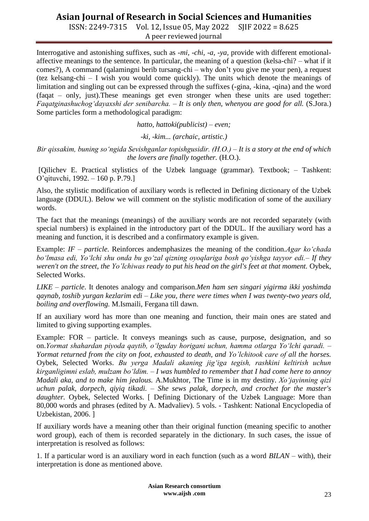ISSN: 2249-7315 Vol. 12, Issue 05, May 2022 SJIF 2022 = 8.625 A peer reviewed journal

Interrogative and astonishing suffixes, such as *-mi, -chi, -a, -ya,* provide with different emotionalaffective meanings to the sentence. In particular, the meaning of a question (kelsa-chi? – what if it comes?), A command (qalamingni berib tursang-chi – why don't you give me your pen), a request (tez kelsang-chi – I wish you would come quickly). The units which denote the meanings of limitation and singling out can be expressed through the suffixes (-gina, -kina, -qina) and the word (faqat – only, just).These meanings get even stronger when these units are used together: *Faqatginashuchog"dayaxshi der senibarcha. – It is only then, whenyou are good for all.* (S.Jora.) Some particles form a methodological paradigm:

*hatto, hattoki(publicist) – even;*

*-ki, -kim... (archaic, artistic.)*

*Bir qissakim, buning so"ngida Sevishganlar topishgusidir. (H.O.) – It is a story at the end of which the lovers are finally together.* (H.O.).

[Qilichev E. Practical stylistics of the Uzbek language (grammar). Textbook; – Tashkent: O'qituvchi, 1992. – 160 p. P.79.]

Also, the stylistic modification of auxiliary words is reflected in Defining dictionary of the Uzbek language (DDUL). Below we will comment on the stylistic modification of some of the auxiliary words.

The fact that the meanings (meanings) of the auxiliary words are not recorded separately (with special numbers) is explained in the introductory part of the DDUL. If the auxiliary word has a meaning and function, it is described and a confirmatory example is given.

Example: *IF* – *particle*. Reinforces andemphasizes the meaning of the condition.*Agar ko'chada bo"lmasa edi, Yo"lchi shu onda bu go"zal qizning oyoqlariga bosh qo"yishga tayyor edi.– If they* weren't on the street, the Yo'lchiwas ready to put his head on the girl's feet at that moment. Oybek, Selected Works.

*LIKE – particle*. It denotes analogy and comparison.*Men ham sen singari yigirma ikki yoshimda qaynab, toshib yurgan kezlarim edi* – *Like you, there were times when I was twenty-two years old, boiling and overflowing.* M.Ismaili, Fergana till dawn.

If an auxiliary word has more than one meaning and function, their main ones are stated and limited to giving supporting examples.

Example: FOR – particle. It conveys meanings such as cause, purpose, designation, and so on.*Yormat shahardan piyoda qaytib, o"lguday horigani uchun, hamma otlarga Yo"lchi qaradi. – Yormat returned from the city on foot, exhausted to death, and Yo"lchitook care of all the horses.* Oybek, Selected Works. *Bu yerga Madali akaning jig"iga tegish, rashkini keltirish uchun kirganligimni eslab, mulzam bo"ldim. – I was humbled to remember that I had come here to annoy Madali aka, and to make him jealous.* A.Mukhtor, The Time is in my destiny. *Xo"jayinning qizi uchun palak, dorpech, qiyiq tikadi. – She sews palak, dorpech, and crochet for the master's*  daughter. Oybek, Selected Works. [ Defining Dictionary of the Uzbek Language: More than 80,000 words and phrases (edited by A. Madvaliev). 5 vols. - Tashkent: National Encyclopedia of Uzbekistan, 2006. ]

If auxiliary words have a meaning other than their original function (meaning specific to another word group), each of them is recorded separately in the dictionary. In such cases, the issue of interpretation is resolved as follows:

1. If a particular word is an auxiliary word in each function (such as a word *BILAN* – with), their interpretation is done as mentioned above.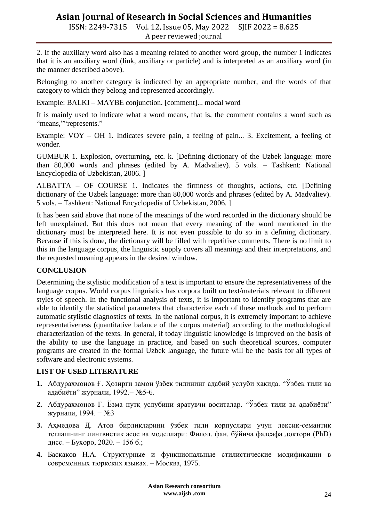ISSN: 2249-7315 Vol. 12, Issue 05, May 2022 SJIF 2022 = 8.625 A peer reviewed journal

2. If the auxiliary word also has a meaning related to another word group, the number 1 indicates that it is an auxiliary word (link, auxiliary or particle) and is interpreted as an auxiliary word (in the manner described above).

Belonging to another category is indicated by an appropriate number, and the words of that category to which they belong and represented accordingly.

Example: BALKI – MAYBE conjunction. [comment]... modal word

It is mainly used to indicate what a word means, that is, the comment contains a word such as "means," represents."

Example: VOY – OH 1. Indicates severe pain, a feeling of pain... 3. Excitement, a feeling of wonder.

GUMBUR 1. Explosion, overturning, etc. k. [Defining dictionary of the Uzbek language: more than 80,000 words and phrases (edited by A. Madvaliev). 5 vols. – Tashkent: National Encyclopedia of Uzbekistan, 2006. ]

ALBATTA – OF COURSE 1. Indicates the firmness of thoughts, actions, etc. [Defining dictionary of the Uzbek language: more than 80,000 words and phrases (edited by A. Madvaliev). 5 vols. – Tashkent: National Encyclopedia of Uzbekistan, 2006. ]

It has been said above that none of the meanings of the word recorded in the dictionary should be left unexplained. But this does not mean that every meaning of the word mentioned in the dictionary must be interpreted here. It is not even possible to do so in a defining dictionary. Because if this is done, the dictionary will be filled with repetitive comments. There is no limit to this in the language corpus, the linguistic supply covers all meanings and their interpretations, and the requested meaning appears in the desired window.

### **CONCLUSION**

Determining the stylistic modification of a text is important to ensure the representativeness of the language corpus. World corpus linguistics has corpora built on text/materials relevant to different styles of speech. In the functional analysis of texts, it is important to identify programs that are able to identify the statistical parameters that characterize each of these methods and to perform automatic stylistic diagnostics of texts. In the national corpus, it is extremely important to achieve representativeness (quantitative balance of the corpus material) according to the methodological characterization of the texts. In general, if today linguistic knowledge is improved on the basis of the ability to use the language in practice, and based on such theoretical sources, computer programs are created in the formal Uzbek language, the future will be the basis for all types of software and electronic systems.

### **LIST OF USED LITERATURE**

- **1.** Абдураҳмонов Ғ. Ҳозирги замон ўзбек тилининг адабий услуби ҳақида. "Ўзбек тили ва адабиѐти" журнали, 1992.− №5-6.
- **2.** Абдураҳмонов Ғ. Ёзма нутқ услубини яратувчи воситалар. "Ўзбек тили ва адабиѐти" журнали, 1994. − №3
- **3.** Аҳмедова Д. Атов бирликларини ўзбек тили корпуслари учун лексик-семантик теглашнинг лингвистик асос ва моделлари: Филол. фан. бўйича фалсафа доктори (PhD) дисс. – Бухоро, 2020. – 156 б.;
- **4.** Баскаков Н.А. Структурные и функциональные стилистические модификации в современных тюркских языках. ‒ Москва, 1975.